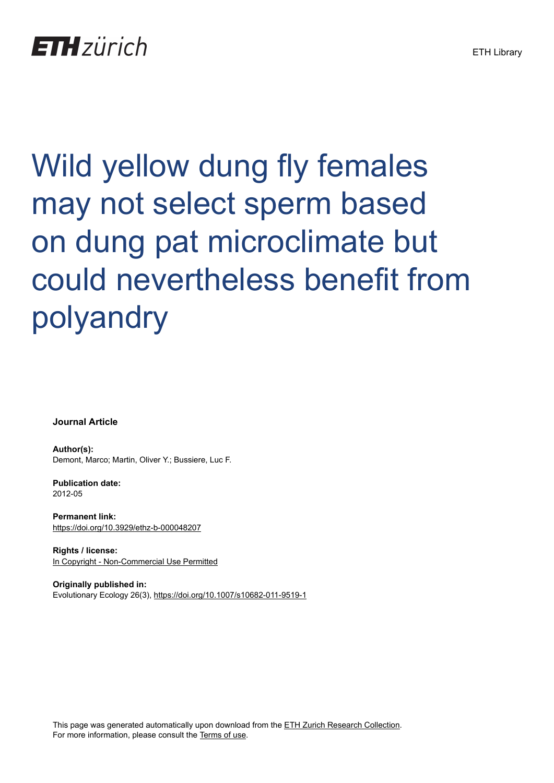Wild yellow dung fly females may not select sperm based on dung pat microclimate but could nevertheless benefit from polyandry

**Journal Article**

**Author(s):** Demont, Marco; Martin, Oliver Y.; Bussiere, Luc F.

**Publication date:** 2012-05

**Permanent link:** <https://doi.org/10.3929/ethz-b-000048207>

**Rights / license:** [In Copyright - Non-Commercial Use Permitted](http://rightsstatements.org/page/InC-NC/1.0/)

**Originally published in:** Evolutionary Ecology 26(3),<https://doi.org/10.1007/s10682-011-9519-1>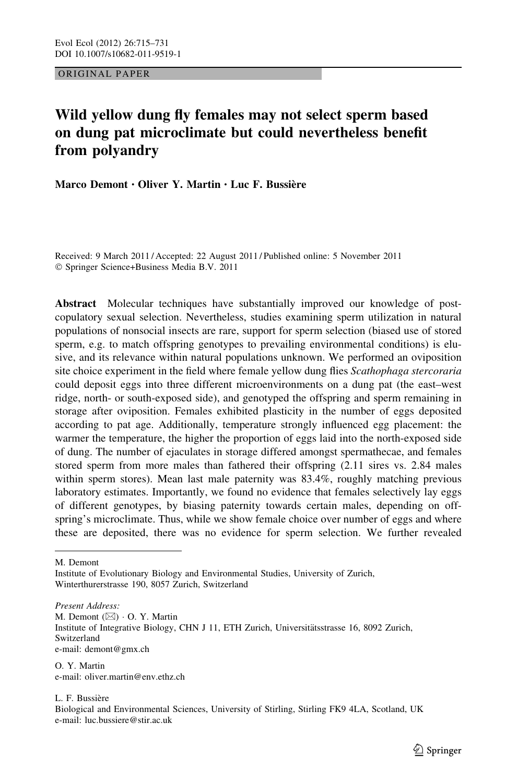ORIGINAL PAPER

# Wild yellow dung fly females may not select sperm based on dung pat microclimate but could nevertheless benefit from polyandry

Marco Demont • Oliver Y. Martin • Luc F. Bussière

Received: 9 March 2011 / Accepted: 22 August 2011 / Published online: 5 November 2011 - Springer Science+Business Media B.V. 2011

Abstract Molecular techniques have substantially improved our knowledge of postcopulatory sexual selection. Nevertheless, studies examining sperm utilization in natural populations of nonsocial insects are rare, support for sperm selection (biased use of stored sperm, e.g. to match offspring genotypes to prevailing environmental conditions) is elusive, and its relevance within natural populations unknown. We performed an oviposition site choice experiment in the field where female yellow dung flies Scathophaga stercoraria could deposit eggs into three different microenvironments on a dung pat (the east–west ridge, north- or south-exposed side), and genotyped the offspring and sperm remaining in storage after oviposition. Females exhibited plasticity in the number of eggs deposited according to pat age. Additionally, temperature strongly influenced egg placement: the warmer the temperature, the higher the proportion of eggs laid into the north-exposed side of dung. The number of ejaculates in storage differed amongst spermathecae, and females stored sperm from more males than fathered their offspring (2.11 sires vs. 2.84 males within sperm stores). Mean last male paternity was 83.4%, roughly matching previous laboratory estimates. Importantly, we found no evidence that females selectively lay eggs of different genotypes, by biasing paternity towards certain males, depending on offspring's microclimate. Thus, while we show female choice over number of eggs and where these are deposited, there was no evidence for sperm selection. We further revealed

M. Demont

Present Address:

M. Demont  $(\boxtimes) \cdot$  O. Y. Martin Institute of Integrative Biology, CHN J 11, ETH Zurich, Universitätsstrasse 16, 8092 Zurich, Switzerland e-mail: demont@gmx.ch

O. Y. Martin e-mail: oliver.martin@env.ethz.ch

L. F. Bussière Biological and Environmental Sciences, University of Stirling, Stirling FK9 4LA, Scotland, UK e-mail: luc.bussiere@stir.ac.uk

Institute of Evolutionary Biology and Environmental Studies, University of Zurich, Winterthurerstrasse 190, 8057 Zurich, Switzerland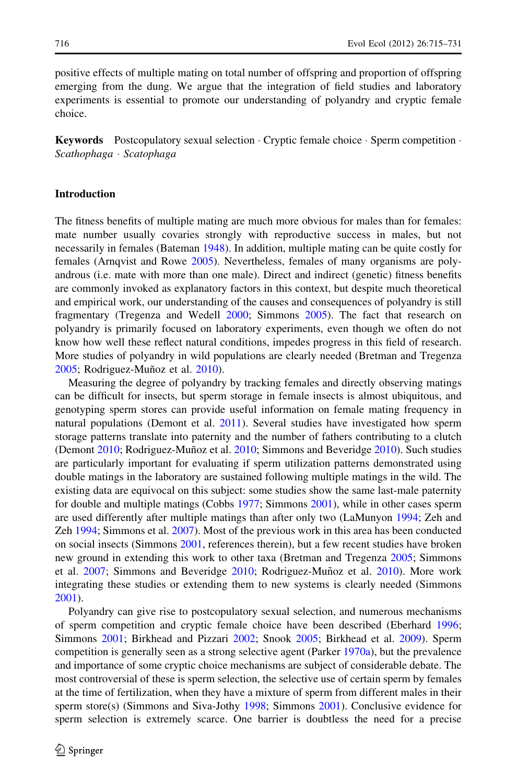positive effects of multiple mating on total number of offspring and proportion of offspring emerging from the dung. We argue that the integration of field studies and laboratory experiments is essential to promote our understanding of polyandry and cryptic female choice.

**Keywords** Postcopulatory sexual selection  $\cdot$  Cryptic female choice  $\cdot$  Sperm competition  $\cdot$ Scathophaga - Scatophaga

## Introduction

The fitness benefits of multiple mating are much more obvious for males than for females: mate number usually covaries strongly with reproductive success in males, but not necessarily in females (Bateman [1948](#page-16-0)). In addition, multiple mating can be quite costly for females (Arnqvist and Rowe [2005\)](#page-16-0). Nevertheless, females of many organisms are polyandrous (i.e. mate with more than one male). Direct and indirect (genetic) fitness benefits are commonly invoked as explanatory factors in this context, but despite much theoretical and empirical work, our understanding of the causes and consequences of polyandry is still fragmentary (Tregenza and Wedell [2000](#page-17-0); Simmons [2005](#page-17-0)). The fact that research on polyandry is primarily focused on laboratory experiments, even though we often do not know how well these reflect natural conditions, impedes progress in this field of research. More studies of polyandry in wild populations are clearly needed (Bretman and Tregenza [2005;](#page-16-0) Rodriguez-Muñoz et al. [2010](#page-17-0)).

Measuring the degree of polyandry by tracking females and directly observing matings can be difficult for insects, but sperm storage in female insects is almost ubiquitous, and genotyping sperm stores can provide useful information on female mating frequency in natural populations (Demont et al. [2011\)](#page-16-0). Several studies have investigated how sperm storage patterns translate into paternity and the number of fathers contributing to a clutch (Demont [2010;](#page-16-0) Rodriguez-Muñoz et al. [2010](#page-17-0); Simmons and Beveridge 2010). Such studies are particularly important for evaluating if sperm utilization patterns demonstrated using double matings in the laboratory are sustained following multiple matings in the wild. The existing data are equivocal on this subject: some studies show the same last-male paternity for double and multiple matings (Cobbs [1977;](#page-16-0) Simmons [2001](#page-17-0)), while in other cases sperm are used differently after multiple matings than after only two (LaMunyon [1994;](#page-17-0) Zeh and Zeh [1994;](#page-17-0) Simmons et al. [2007](#page-17-0)). Most of the previous work in this area has been conducted on social insects (Simmons [2001](#page-17-0), references therein), but a few recent studies have broken new ground in extending this work to other taxa (Bretman and Tregenza [2005](#page-16-0); Simmons et al. [2007;](#page-17-0) Simmons and Beveridge [2010;](#page-17-0) Rodriguez-Muñoz et al. [2010](#page-17-0)). More work integrating these studies or extending them to new systems is clearly needed (Simmons [2001\)](#page-17-0).

Polyandry can give rise to postcopulatory sexual selection, and numerous mechanisms of sperm competition and cryptic female choice have been described (Eberhard [1996;](#page-16-0) Simmons [2001](#page-17-0); Birkhead and Pizzari [2002](#page-16-0); Snook [2005;](#page-17-0) Birkhead et al. [2009](#page-16-0)). Sperm competition is generally seen as a strong selective agent (Parker [1970a](#page-17-0)), but the prevalence and importance of some cryptic choice mechanisms are subject of considerable debate. The most controversial of these is sperm selection, the selective use of certain sperm by females at the time of fertilization, when they have a mixture of sperm from different males in their sperm store(s) (Simmons and Siva-Jothy [1998](#page-17-0); Simmons [2001](#page-17-0)). Conclusive evidence for sperm selection is extremely scarce. One barrier is doubtless the need for a precise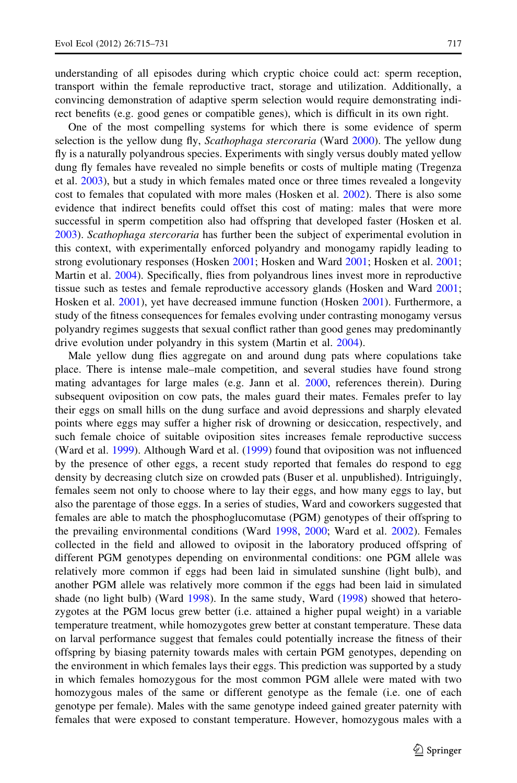understanding of all episodes during which cryptic choice could act: sperm reception, transport within the female reproductive tract, storage and utilization. Additionally, a convincing demonstration of adaptive sperm selection would require demonstrating indirect benefits (e.g. good genes or compatible genes), which is difficult in its own right.

One of the most compelling systems for which there is some evidence of sperm selection is the yellow dung fly, Scathophaga stercoraria (Ward [2000](#page-17-0)). The yellow dung fly is a naturally polyandrous species. Experiments with singly versus doubly mated yellow dung fly females have revealed no simple benefits or costs of multiple mating (Tregenza et al. [2003\)](#page-17-0), but a study in which females mated once or three times revealed a longevity cost to females that copulated with more males (Hosken et al. [2002\)](#page-16-0). There is also some evidence that indirect benefits could offset this cost of mating: males that were more successful in sperm competition also had offspring that developed faster (Hosken et al. [2003\)](#page-16-0). Scathophaga stercoraria has further been the subject of experimental evolution in this context, with experimentally enforced polyandry and monogamy rapidly leading to strong evolutionary responses (Hosken [2001;](#page-16-0) Hosken and Ward [2001;](#page-16-0) Hosken et al. [2001;](#page-16-0) Martin et al. [2004\)](#page-17-0). Specifically, flies from polyandrous lines invest more in reproductive tissue such as testes and female reproductive accessory glands (Hosken and Ward [2001;](#page-16-0) Hosken et al. [2001\)](#page-16-0), yet have decreased immune function (Hosken [2001](#page-16-0)). Furthermore, a study of the fitness consequences for females evolving under contrasting monogamy versus polyandry regimes suggests that sexual conflict rather than good genes may predominantly drive evolution under polyandry in this system (Martin et al. [2004](#page-17-0)).

Male yellow dung flies aggregate on and around dung pats where copulations take place. There is intense male–male competition, and several studies have found strong mating advantages for large males (e.g. Jann et al. [2000,](#page-16-0) references therein). During subsequent oviposition on cow pats, the males guard their mates. Females prefer to lay their eggs on small hills on the dung surface and avoid depressions and sharply elevated points where eggs may suffer a higher risk of drowning or desiccation, respectively, and such female choice of suitable oviposition sites increases female reproductive success (Ward et al. [1999](#page-17-0)). Although Ward et al. [\(1999](#page-17-0)) found that oviposition was not influenced by the presence of other eggs, a recent study reported that females do respond to egg density by decreasing clutch size on crowded pats (Buser et al. unpublished). Intriguingly, females seem not only to choose where to lay their eggs, and how many eggs to lay, but also the parentage of those eggs. In a series of studies, Ward and coworkers suggested that females are able to match the phosphoglucomutase (PGM) genotypes of their offspring to the prevailing environmental conditions (Ward [1998](#page-17-0), [2000](#page-17-0); Ward et al. [2002\)](#page-17-0). Females collected in the field and allowed to oviposit in the laboratory produced offspring of different PGM genotypes depending on environmental conditions: one PGM allele was relatively more common if eggs had been laid in simulated sunshine (light bulb), and another PGM allele was relatively more common if the eggs had been laid in simulated shade (no light bulb) (Ward [1998](#page-17-0)). In the same study, Ward [\(1998](#page-17-0)) showed that heterozygotes at the PGM locus grew better (i.e. attained a higher pupal weight) in a variable temperature treatment, while homozygotes grew better at constant temperature. These data on larval performance suggest that females could potentially increase the fitness of their offspring by biasing paternity towards males with certain PGM genotypes, depending on the environment in which females lays their eggs. This prediction was supported by a study in which females homozygous for the most common PGM allele were mated with two homozygous males of the same or different genotype as the female (i.e. one of each genotype per female). Males with the same genotype indeed gained greater paternity with females that were exposed to constant temperature. However, homozygous males with a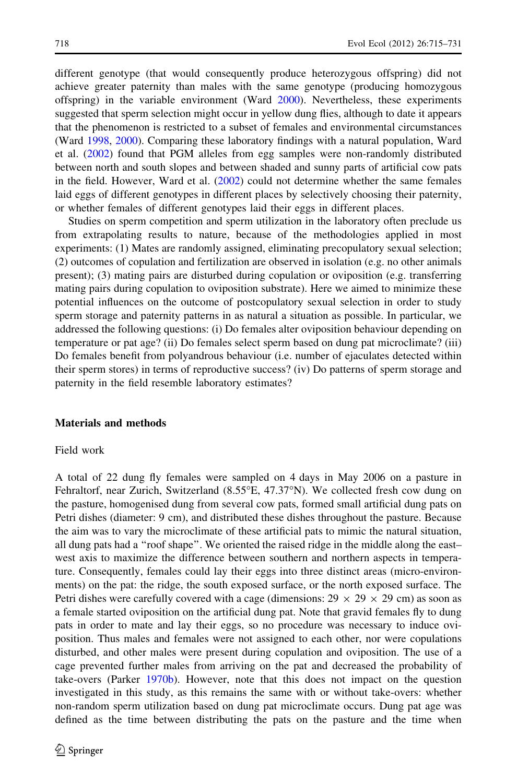different genotype (that would consequently produce heterozygous offspring) did not achieve greater paternity than males with the same genotype (producing homozygous offspring) in the variable environment (Ward [2000](#page-17-0)). Nevertheless, these experiments suggested that sperm selection might occur in yellow dung flies, although to date it appears that the phenomenon is restricted to a subset of females and environmental circumstances (Ward [1998,](#page-17-0) [2000](#page-17-0)). Comparing these laboratory findings with a natural population, Ward et al. [\(2002\)](#page-17-0) found that PGM alleles from egg samples were non-randomly distributed between north and south slopes and between shaded and sunny parts of artificial cow pats in the field. However, Ward et al. [\(2002](#page-17-0)) could not determine whether the same females laid eggs of different genotypes in different places by selectively choosing their paternity, or whether females of different genotypes laid their eggs in different places.

Studies on sperm competition and sperm utilization in the laboratory often preclude us from extrapolating results to nature, because of the methodologies applied in most experiments: (1) Mates are randomly assigned, eliminating precopulatory sexual selection; (2) outcomes of copulation and fertilization are observed in isolation (e.g. no other animals present); (3) mating pairs are disturbed during copulation or oviposition (e.g. transferring mating pairs during copulation to oviposition substrate). Here we aimed to minimize these potential influences on the outcome of postcopulatory sexual selection in order to study sperm storage and paternity patterns in as natural a situation as possible. In particular, we addressed the following questions: (i) Do females alter oviposition behaviour depending on temperature or pat age? (ii) Do females select sperm based on dung pat microclimate? (iii) Do females benefit from polyandrous behaviour (i.e. number of ejaculates detected within their sperm stores) in terms of reproductive success? (iv) Do patterns of sperm storage and paternity in the field resemble laboratory estimates?

#### Materials and methods

### Field work

A total of 22 dung fly females were sampled on 4 days in May 2006 on a pasture in Fehraltorf, near Zurich, Switzerland (8.55°E, 47.37°N). We collected fresh cow dung on the pasture, homogenised dung from several cow pats, formed small artificial dung pats on Petri dishes (diameter: 9 cm), and distributed these dishes throughout the pasture. Because the aim was to vary the microclimate of these artificial pats to mimic the natural situation, all dung pats had a ''roof shape''. We oriented the raised ridge in the middle along the east– west axis to maximize the difference between southern and northern aspects in temperature. Consequently, females could lay their eggs into three distinct areas (micro-environments) on the pat: the ridge, the south exposed surface, or the north exposed surface. The Petri dishes were carefully covered with a cage (dimensions:  $29 \times 29 \times 29$  cm) as soon as a female started oviposition on the artificial dung pat. Note that gravid females fly to dung pats in order to mate and lay their eggs, so no procedure was necessary to induce oviposition. Thus males and females were not assigned to each other, nor were copulations disturbed, and other males were present during copulation and oviposition. The use of a cage prevented further males from arriving on the pat and decreased the probability of take-overs (Parker [1970b\)](#page-17-0). However, note that this does not impact on the question investigated in this study, as this remains the same with or without take-overs: whether non-random sperm utilization based on dung pat microclimate occurs. Dung pat age was defined as the time between distributing the pats on the pasture and the time when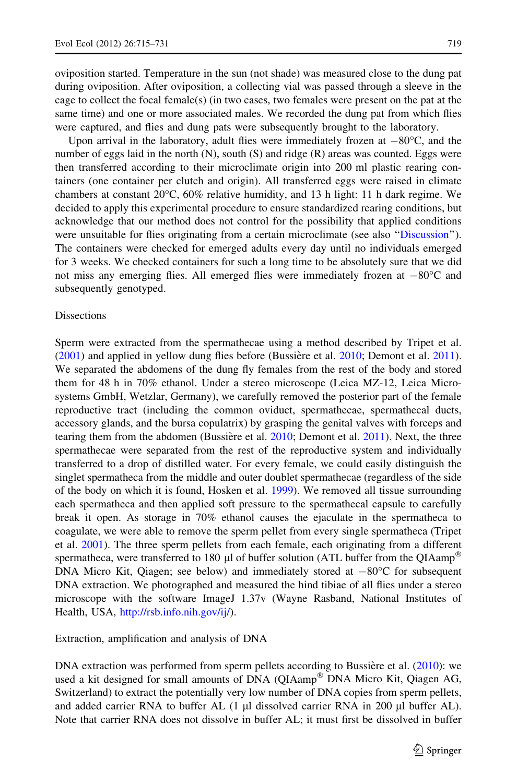oviposition started. Temperature in the sun (not shade) was measured close to the dung pat during oviposition. After oviposition, a collecting vial was passed through a sleeve in the cage to collect the focal female(s) (in two cases, two females were present on the pat at the same time) and one or more associated males. We recorded the dung pat from which flies were captured, and flies and dung pats were subsequently brought to the laboratory.

Upon arrival in the laboratory, adult flies were immediately frozen at  $-80^{\circ}$ C, and the number of eggs laid in the north (N), south (S) and ridge (R) areas was counted. Eggs were then transferred according to their microclimate origin into 200 ml plastic rearing containers (one container per clutch and origin). All transferred eggs were raised in climate chambers at constant  $20^{\circ}$ C,  $60\%$  relative humidity, and 13 h light: 11 h dark regime. We decided to apply this experimental procedure to ensure standardized rearing conditions, but acknowledge that our method does not control for the possibility that applied conditions were unsuitable for flies originating from a certain microclimate (see also "Discussion"). The containers were checked for emerged adults every day until no individuals emerged for 3 weeks. We checked containers for such a long time to be absolutely sure that we did not miss any emerging flies. All emerged flies were immediately frozen at  $-80^{\circ}$ C and subsequently genotyped.

#### **Dissections**

Sperm were extracted from the spermathecae using a method described by Tripet et al.  $(2001)$  $(2001)$  and applied in yellow dung flies before (Bussière et al.  $2010$ ; Demont et al.  $2011$ ). We separated the abdomens of the dung fly females from the rest of the body and stored them for 48 h in 70% ethanol. Under a stereo microscope (Leica MZ-12, Leica Microsystems GmbH, Wetzlar, Germany), we carefully removed the posterior part of the female reproductive tract (including the common oviduct, spermathecae, spermathecal ducts, accessory glands, and the bursa copulatrix) by grasping the genital valves with forceps and tearing them from the abdomen (Bussière et al. [2010;](#page-16-0) Demont et al. [2011\)](#page-16-0). Next, the three spermathecae were separated from the rest of the reproductive system and individually transferred to a drop of distilled water. For every female, we could easily distinguish the singlet spermatheca from the middle and outer doublet spermathecae (regardless of the side of the body on which it is found, Hosken et al. [1999](#page-16-0)). We removed all tissue surrounding each spermatheca and then applied soft pressure to the spermathecal capsule to carefully break it open. As storage in 70% ethanol causes the ejaculate in the spermatheca to coagulate, we were able to remove the sperm pellet from every single spermatheca (Tripet et al. [2001](#page-17-0)). The three sperm pellets from each female, each originating from a different spermatheca, were transferred to 180  $\mu$ l of buffer solution (ATL buffer from the QIAamp<sup>®</sup> DNA Micro Kit, Qiagen; see below) and immediately stored at  $-80^{\circ}$ C for subsequent DNA extraction. We photographed and measured the hind tibiae of all flies under a stereo microscope with the software ImageJ 1.37v (Wayne Rasband, National Institutes of Health, USA, [http://rsb.info.nih.gov/ij/\)](http://rsb.info.nih.gov/ij/).

Extraction, amplification and analysis of DNA

DNA extraction was performed from sperm pellets according to Bussière et al.  $(2010)$  $(2010)$ : we used a kit designed for small amounts of DNA ( $QIAamp^{\otimes}$  DNA Micro Kit, Qiagen AG, Switzerland) to extract the potentially very low number of DNA copies from sperm pellets, and added carrier RNA to buffer AL  $(1 \mu)$  dissolved carrier RNA in 200  $\mu$ l buffer AL). Note that carrier RNA does not dissolve in buffer AL; it must first be dissolved in buffer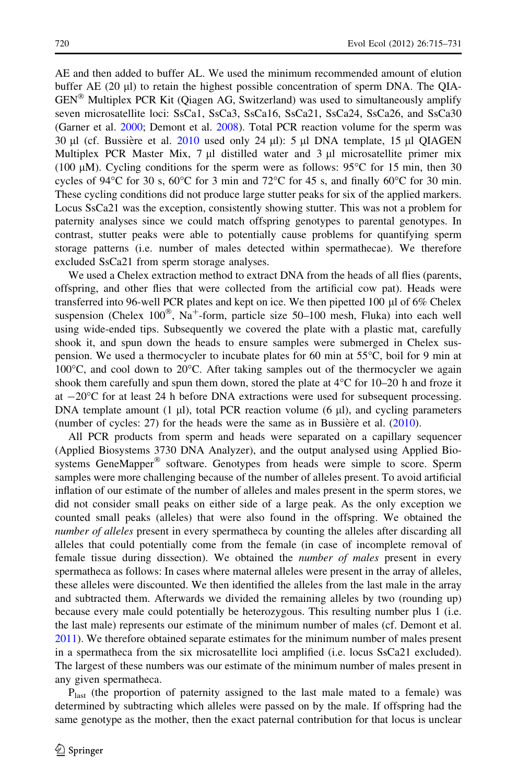AE and then added to buffer AL. We used the minimum recommended amount of elution buffer AE  $(20 \mu l)$  to retain the highest possible concentration of sperm DNA. The QIA- $GEN^{\circledR}$  Multiplex PCR Kit (Qiagen AG, Switzerland) was used to simultaneously amplify seven microsatellite loci: SsCa1, SsCa3, SsCa16, SsCa21, SsCa24, SsCa26, and SsCa30 (Garner et al. [2000](#page-16-0); Demont et al. [2008\)](#page-16-0). Total PCR reaction volume for the sperm was 30  $\mu$ l (cf. Bussière et al. [2010](#page-16-0) used only 24  $\mu$ ): 5  $\mu$ l DNA template, 15  $\mu$ l QIAGEN Multiplex PCR Master Mix,  $7 \mu l$  distilled water and  $3 \mu l$  microsatellite primer mix (100  $\mu$ M). Cycling conditions for the sperm were as follows: 95°C for 15 min, then 30 cycles of 94 $\degree$ C for 30 s, 60 $\degree$ C for 3 min and 72 $\degree$ C for 45 s, and finally 60 $\degree$ C for 30 min. These cycling conditions did not produce large stutter peaks for six of the applied markers. Locus SsCa21 was the exception, consistently showing stutter. This was not a problem for paternity analyses since we could match offspring genotypes to parental genotypes. In contrast, stutter peaks were able to potentially cause problems for quantifying sperm storage patterns (i.e. number of males detected within spermathecae). We therefore excluded SsCa21 from sperm storage analyses.

We used a Chelex extraction method to extract DNA from the heads of all flies (parents, offspring, and other flies that were collected from the artificial cow pat). Heads were transferred into 96-well PCR plates and kept on ice. We then pipetted 100  $\mu$ l of 6% Chelex suspension (Chelex  $100^{\circledast}$ , Na<sup>+</sup>-form, particle size 50–100 mesh, Fluka) into each well using wide-ended tips. Subsequently we covered the plate with a plastic mat, carefully shook it, and spun down the heads to ensure samples were submerged in Chelex suspension. We used a thermocycler to incubate plates for 60 min at 55C, boil for 9 min at  $100^{\circ}$ C, and cool down to  $20^{\circ}$ C. After taking samples out of the thermocycler we again shook them carefully and spun them down, stored the plate at  $4^{\circ}$ C for 10–20 h and froze it at  $-20^{\circ}$ C for at least 24 h before DNA extractions were used for subsequent processing. DNA template amount  $(1 \mu l)$ , total PCR reaction volume  $(6 \mu l)$ , and cycling parameters (number of cycles: 27) for the heads were the same as in Bussiere et al.  $(2010)$  $(2010)$ .

All PCR products from sperm and heads were separated on a capillary sequencer (Applied Biosystems 3730 DNA Analyzer), and the output analysed using Applied Biosystems GeneMapper® software. Genotypes from heads were simple to score. Sperm samples were more challenging because of the number of alleles present. To avoid artificial inflation of our estimate of the number of alleles and males present in the sperm stores, we did not consider small peaks on either side of a large peak. As the only exception we counted small peaks (alleles) that were also found in the offspring. We obtained the number of alleles present in every spermatheca by counting the alleles after discarding all alleles that could potentially come from the female (in case of incomplete removal of female tissue during dissection). We obtained the *number of males* present in every spermatheca as follows: In cases where maternal alleles were present in the array of alleles, these alleles were discounted. We then identified the alleles from the last male in the array and subtracted them. Afterwards we divided the remaining alleles by two (rounding up) because every male could potentially be heterozygous. This resulting number plus 1 (i.e. the last male) represents our estimate of the minimum number of males (cf. Demont et al. [2011\)](#page-16-0). We therefore obtained separate estimates for the minimum number of males present in a spermatheca from the six microsatellite loci amplified (i.e. locus SsCa21 excluded). The largest of these numbers was our estimate of the minimum number of males present in any given spermatheca.

 $P<sub>last</sub>$  (the proportion of paternity assigned to the last male mated to a female) was determined by subtracting which alleles were passed on by the male. If offspring had the same genotype as the mother, then the exact paternal contribution for that locus is unclear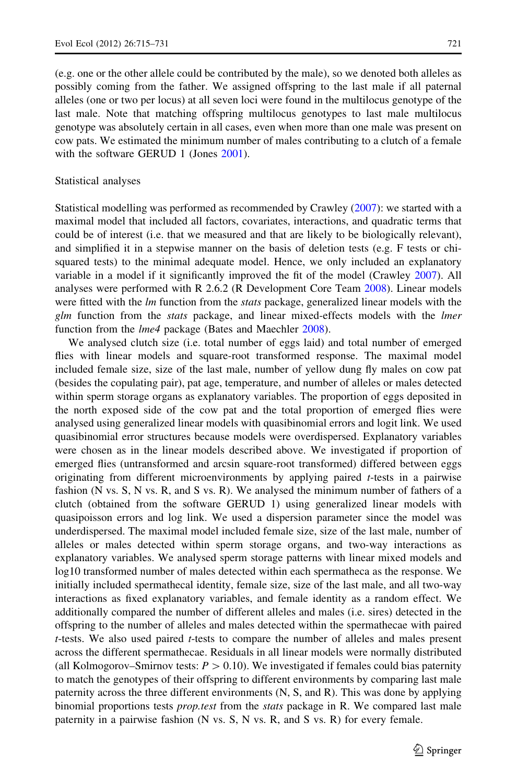(e.g. one or the other allele could be contributed by the male), so we denoted both alleles as possibly coming from the father. We assigned offspring to the last male if all paternal alleles (one or two per locus) at all seven loci were found in the multilocus genotype of the last male. Note that matching offspring multilocus genotypes to last male multilocus genotype was absolutely certain in all cases, even when more than one male was present on cow pats. We estimated the minimum number of males contributing to a clutch of a female with the software GERUD 1 (Jones [2001](#page-17-0)).

#### Statistical analyses

Statistical modelling was performed as recommended by Crawley [\(2007](#page-16-0)): we started with a maximal model that included all factors, covariates, interactions, and quadratic terms that could be of interest (i.e. that we measured and that are likely to be biologically relevant), and simplified it in a stepwise manner on the basis of deletion tests (e.g. F tests or chisquared tests) to the minimal adequate model. Hence, we only included an explanatory variable in a model if it significantly improved the fit of the model (Crawley [2007\)](#page-16-0). All analyses were performed with R 2.6.2 (R Development Core Team [2008\)](#page-17-0). Linear models were fitted with the *lm* function from the *stats* package, generalized linear models with the glm function from the *stats* package, and linear mixed-effects models with the *lmer* function from the *lme4* package (Bates and Maechler [2008\)](#page-16-0).

We analysed clutch size (i.e. total number of eggs laid) and total number of emerged flies with linear models and square-root transformed response. The maximal model included female size, size of the last male, number of yellow dung fly males on cow pat (besides the copulating pair), pat age, temperature, and number of alleles or males detected within sperm storage organs as explanatory variables. The proportion of eggs deposited in the north exposed side of the cow pat and the total proportion of emerged flies were analysed using generalized linear models with quasibinomial errors and logit link. We used quasibinomial error structures because models were overdispersed. Explanatory variables were chosen as in the linear models described above. We investigated if proportion of emerged flies (untransformed and arcsin square-root transformed) differed between eggs originating from different microenvironments by applying paired t-tests in a pairwise fashion (N vs. S, N vs. R, and S vs. R). We analysed the minimum number of fathers of a clutch (obtained from the software GERUD 1) using generalized linear models with quasipoisson errors and log link. We used a dispersion parameter since the model was underdispersed. The maximal model included female size, size of the last male, number of alleles or males detected within sperm storage organs, and two-way interactions as explanatory variables. We analysed sperm storage patterns with linear mixed models and log10 transformed number of males detected within each spermatheca as the response. We initially included spermathecal identity, female size, size of the last male, and all two-way interactions as fixed explanatory variables, and female identity as a random effect. We additionally compared the number of different alleles and males (i.e. sires) detected in the offspring to the number of alleles and males detected within the spermathecae with paired t-tests. We also used paired t-tests to compare the number of alleles and males present across the different spermathecae. Residuals in all linear models were normally distributed (all Kolmogorov–Smirnov tests:  $P > 0.10$ ). We investigated if females could bias paternity to match the genotypes of their offspring to different environments by comparing last male paternity across the three different environments (N, S, and R). This was done by applying binomial proportions tests *prop.test* from the *stats* package in R. We compared last male paternity in a pairwise fashion (N vs. S, N vs. R, and S vs. R) for every female.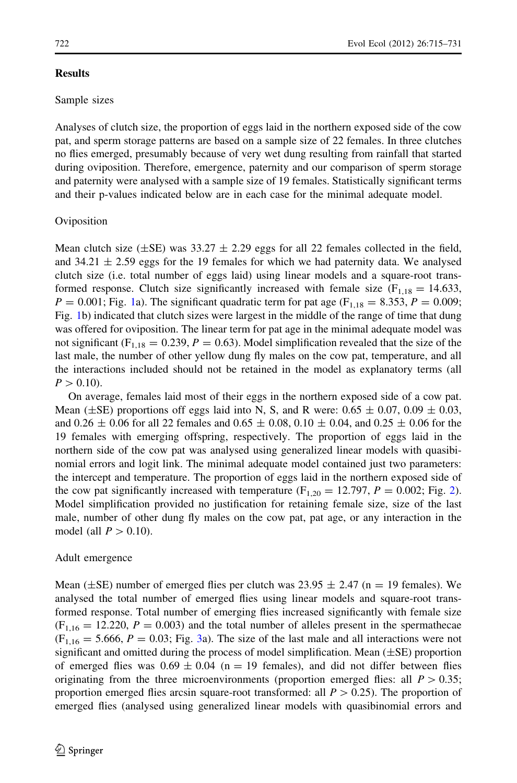## **Results**

# Sample sizes

Analyses of clutch size, the proportion of eggs laid in the northern exposed side of the cow pat, and sperm storage patterns are based on a sample size of 22 females. In three clutches no flies emerged, presumably because of very wet dung resulting from rainfall that started during oviposition. Therefore, emergence, paternity and our comparison of sperm storage and paternity were analysed with a sample size of 19 females. Statistically significant terms and their p-values indicated below are in each case for the minimal adequate model.

# Oviposition

Mean clutch size ( $\pm$ SE) was 33.27  $\pm$  2.29 eggs for all 22 females collected in the field, and  $34.21 \pm 2.59$  eggs for the 19 females for which we had paternity data. We analysed clutch size (i.e. total number of eggs laid) using linear models and a square-root transformed response. Clutch size significantly increased with female size  $(F_{1,18} = 14.633)$ ,  $P = 0.001$ ; Fig. [1a](#page-9-0)). The significant quadratic term for pat age (F<sub>1,18</sub> = 8.353, P = 0.009; Fig. [1b](#page-9-0)) indicated that clutch sizes were largest in the middle of the range of time that dung was offered for oviposition. The linear term for pat age in the minimal adequate model was not significant ( $F_{1,18} = 0.239$ ,  $P = 0.63$ ). Model simplification revealed that the size of the last male, the number of other yellow dung fly males on the cow pat, temperature, and all the interactions included should not be retained in the model as explanatory terms (all  $P > 0.10$ ).

On average, females laid most of their eggs in the northern exposed side of a cow pat. Mean ( $\pm$ SE) proportions off eggs laid into N, S, and R were:  $0.65 \pm 0.07$ ,  $0.09 \pm 0.03$ , and 0.26  $\pm$  0.06 for all 22 females and 0.65  $\pm$  0.08, 0.10  $\pm$  0.04, and 0.25  $\pm$  0.06 for the 19 females with emerging offspring, respectively. The proportion of eggs laid in the northern side of the cow pat was analysed using generalized linear models with quasibinomial errors and logit link. The minimal adequate model contained just two parameters: the intercept and temperature. The proportion of eggs laid in the northern exposed side of the cow pat significantly increased with temperature  $(F<sub>1,20</sub> = 12.797, P = 0.002; Fig. 2)$  $(F<sub>1,20</sub> = 12.797, P = 0.002; Fig. 2)$  $(F<sub>1,20</sub> = 12.797, P = 0.002; Fig. 2)$ . Model simplification provided no justification for retaining female size, size of the last male, number of other dung fly males on the cow pat, pat age, or any interaction in the model (all  $P > 0.10$ ).

# Adult emergence

Mean ( $\pm$ SE) number of emerged flies per clutch was 23.95  $\pm$  2.47 (n = 19 females). We analysed the total number of emerged flies using linear models and square-root transformed response. Total number of emerging flies increased significantly with female size  $(F<sub>1,16</sub> = 12.220, P = 0.003)$  and the total number of alleles present in the spermathecae  $(F<sub>1.16</sub> = 5.666, P = 0.03; Fig. 3a)$  $(F<sub>1.16</sub> = 5.666, P = 0.03; Fig. 3a)$  $(F<sub>1.16</sub> = 5.666, P = 0.03; Fig. 3a)$ . The size of the last male and all interactions were not significant and omitted during the process of model simplification. Mean  $(\pm SE)$  proportion of emerged flies was  $0.69 \pm 0.04$  (n = 19 females), and did not differ between flies originating from the three microenvironments (proportion emerged flies: all  $P > 0.35$ ; proportion emerged flies arcsin square-root transformed: all  $P > 0.25$ ). The proportion of emerged flies (analysed using generalized linear models with quasibinomial errors and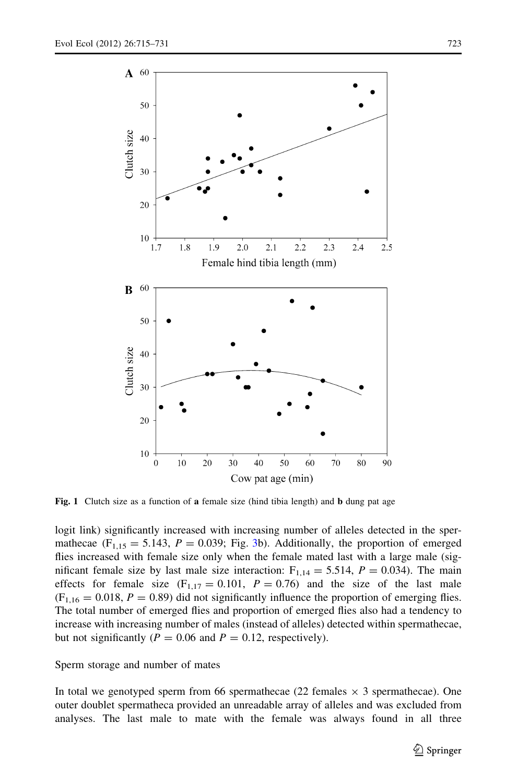<span id="page-9-0"></span>

Fig. 1 Clutch size as a function of a female size (hind tibia length) and b dung pat age

logit link) significantly increased with increasing number of alleles detected in the spermathecae ( $F_{1,15} = 5.143$  $F_{1,15} = 5.143$ ,  $P = 0.039$ ; Fig. 3b). Additionally, the proportion of emerged flies increased with female size only when the female mated last with a large male (significant female size by last male size interaction:  $F_{1,14} = 5.514$ ,  $P = 0.034$ ). The main effects for female size  $(F_{1,17} = 0.101, P = 0.76)$  and the size of the last male  $(F<sub>1.16</sub> = 0.018, P = 0.89)$  did not significantly influence the proportion of emerging flies. The total number of emerged flies and proportion of emerged flies also had a tendency to increase with increasing number of males (instead of alleles) detected within spermathecae, but not significantly ( $P = 0.06$  and  $P = 0.12$ , respectively).

Sperm storage and number of mates

In total we genotyped sperm from 66 spermathecae (22 females  $\times$  3 spermathecae). One outer doublet spermatheca provided an unreadable array of alleles and was excluded from analyses. The last male to mate with the female was always found in all three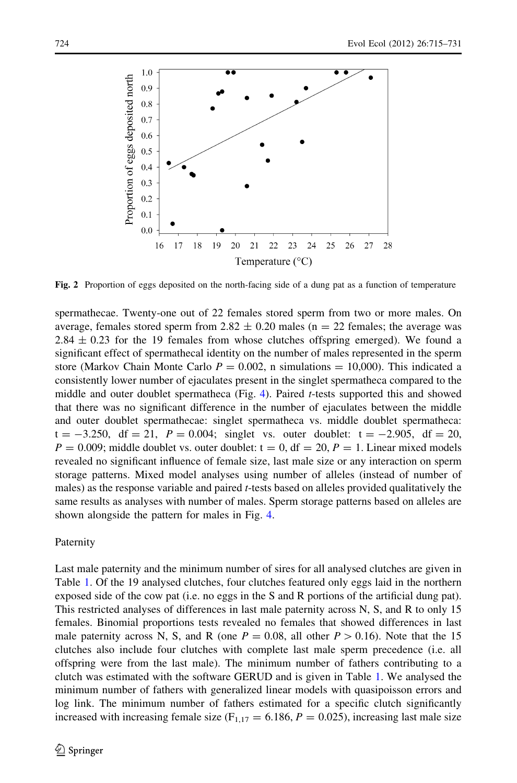<span id="page-10-0"></span>

Fig. 2 Proportion of eggs deposited on the north-facing side of a dung pat as a function of temperature

spermathecae. Twenty-one out of 22 females stored sperm from two or more males. On average, females stored sperm from  $2.82 \pm 0.20$  males (n = 22 females; the average was  $2.84 \pm 0.23$  for the 19 females from whose clutches offspring emerged). We found a significant effect of spermathecal identity on the number of males represented in the sperm store (Markov Chain Monte Carlo  $P = 0.002$ , n simulations = 10,000). This indicated a consistently lower number of ejaculates present in the singlet spermatheca compared to the middle and outer doublet spermatheca (Fig. [4\)](#page-12-0). Paired  $t$ -tests supported this and showed that there was no significant difference in the number of ejaculates between the middle and outer doublet spermathecae: singlet spermatheca vs. middle doublet spermatheca:  $t = -3.250$ ,  $df = 21$ ,  $P = 0.004$ ; singlet vs. outer doublet:  $t = -2.905$ ,  $df = 20$ ,  $P = 0.009$ ; middle doublet vs. outer doublet: t = 0, df = 20,  $P = 1$ . Linear mixed models revealed no significant influence of female size, last male size or any interaction on sperm storage patterns. Mixed model analyses using number of alleles (instead of number of males) as the response variable and paired *t*-tests based on alleles provided qualitatively the same results as analyses with number of males. Sperm storage patterns based on alleles are shown alongside the pattern for males in Fig. [4](#page-12-0).

## Paternity

Last male paternity and the minimum number of sires for all analysed clutches are given in Table [1](#page-12-0). Of the 19 analysed clutches, four clutches featured only eggs laid in the northern exposed side of the cow pat (i.e. no eggs in the S and R portions of the artificial dung pat). This restricted analyses of differences in last male paternity across N, S, and R to only 15 females. Binomial proportions tests revealed no females that showed differences in last male paternity across N, S, and R (one  $P = 0.08$ , all other  $P > 0.16$ ). Note that the 15 clutches also include four clutches with complete last male sperm precedence (i.e. all offspring were from the last male). The minimum number of fathers contributing to a clutch was estimated with the software GERUD and is given in Table [1.](#page-12-0) We analysed the minimum number of fathers with generalized linear models with quasipoisson errors and log link. The minimum number of fathers estimated for a specific clutch significantly increased with increasing female size  $(F_{1,17} = 6.186, P = 0.025)$ , increasing last male size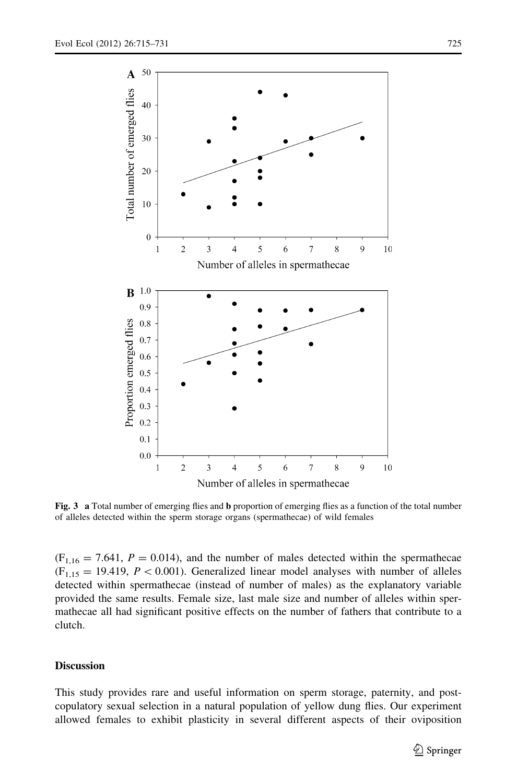<span id="page-11-0"></span>

Fig. 3 a Total number of emerging flies and b proportion of emerging flies as a function of the total number of alleles detected within the sperm storage organs (spermathecae) of wild females

 $(F<sub>1,16</sub> = 7.641, P = 0.014)$ , and the number of males detected within the spermathecae  $(F<sub>1.15</sub> = 19.419, P < 0.001)$ . Generalized linear model analyses with number of alleles detected within spermathecae (instead of number of males) as the explanatory variable provided the same results. Female size, last male size and number of alleles within spermathecae all had significant positive effects on the number of fathers that contribute to a clutch.

#### **Discussion**

This study provides rare and useful information on sperm storage, paternity, and postcopulatory sexual selection in a natural population of yellow dung flies. Our experiment allowed females to exhibit plasticity in several different aspects of their oviposition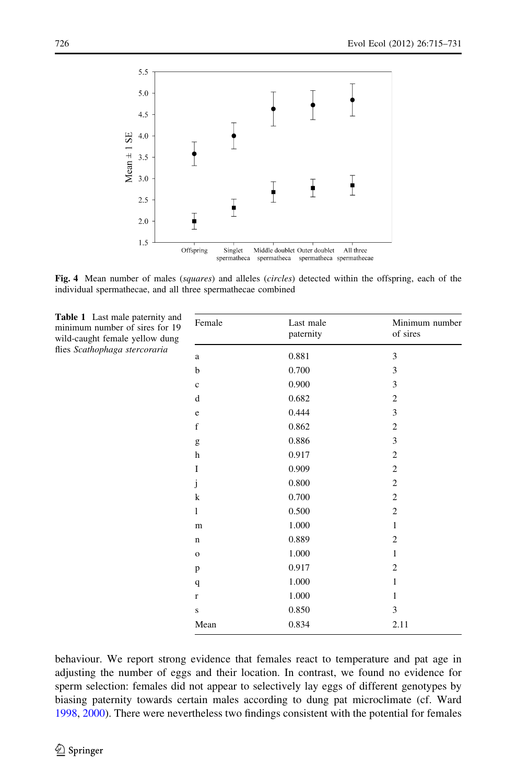<span id="page-12-0"></span>

Fig. 4 Mean number of males (squares) and alleles (circles) detected within the offspring, each of the individual spermathecae, and all three spermathecae combined

Table 1 Last male paternity and minimum number of sires for 19 wild-caught female yellow dung flies Scathophaga stercoraria

| Female       | Last male<br>paternity | Minimum number<br>of sires |
|--------------|------------------------|----------------------------|
| $\mathbf{a}$ | 0.881                  | 3                          |
| b            | 0.700                  | 3                          |
| $\mathbf c$  | 0.900                  | 3                          |
| d            | 0.682                  | $\boldsymbol{2}$           |
| e            | 0.444                  | 3                          |
| f            | 0.862                  | $\mathfrak{2}$             |
| g            | 0.886                  | 3                          |
| h            | 0.917                  | $\overline{c}$             |
| I            | 0.909                  | $\sqrt{2}$                 |
| j            | 0.800                  | $\overline{c}$             |
| k            | 0.700                  | $\overline{c}$             |
| $\mathbf{l}$ | 0.500                  | $\overline{c}$             |
| m            | 1.000                  | $\mathbf{1}$               |
| $\mathbf n$  | 0.889                  | $\overline{c}$             |
| $\mathbf{o}$ | 1.000                  | $\mathbf{1}$               |
| p            | 0.917                  | $\mathfrak{2}$             |
| q            | 1.000                  | $\mathbf{1}$               |
| $\mathbf r$  | 1.000                  | $\mathbf{1}$               |
| ${\bf S}$    | 0.850                  | 3                          |
| Mean         | 0.834                  | 2.11                       |
|              |                        |                            |

behaviour. We report strong evidence that females react to temperature and pat age in adjusting the number of eggs and their location. In contrast, we found no evidence for sperm selection: females did not appear to selectively lay eggs of different genotypes by biasing paternity towards certain males according to dung pat microclimate (cf. Ward [1998,](#page-17-0) [2000](#page-17-0)). There were nevertheless two findings consistent with the potential for females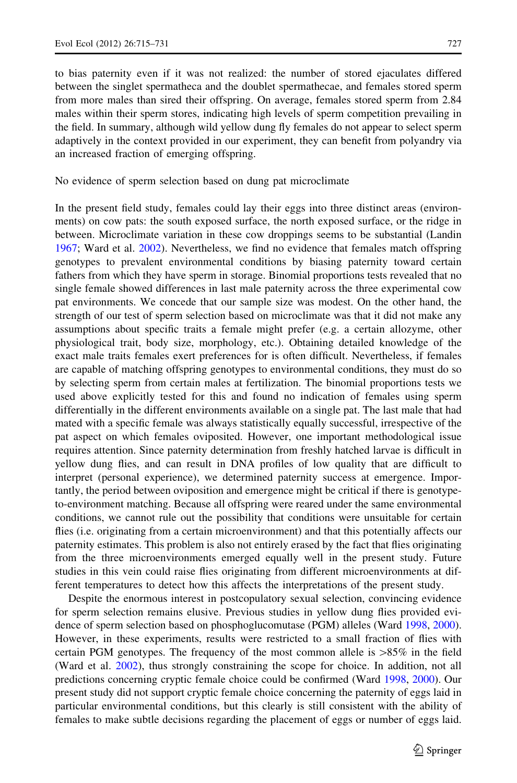to bias paternity even if it was not realized: the number of stored ejaculates differed between the singlet spermatheca and the doublet spermathecae, and females stored sperm from more males than sired their offspring. On average, females stored sperm from 2.84 males within their sperm stores, indicating high levels of sperm competition prevailing in the field. In summary, although wild yellow dung fly females do not appear to select sperm adaptively in the context provided in our experiment, they can benefit from polyandry via an increased fraction of emerging offspring.

No evidence of sperm selection based on dung pat microclimate

In the present field study, females could lay their eggs into three distinct areas (environments) on cow pats: the south exposed surface, the north exposed surface, or the ridge in between. Microclimate variation in these cow droppings seems to be substantial (Landin [1967;](#page-17-0) Ward et al. [2002\)](#page-17-0). Nevertheless, we find no evidence that females match offspring genotypes to prevalent environmental conditions by biasing paternity toward certain fathers from which they have sperm in storage. Binomial proportions tests revealed that no single female showed differences in last male paternity across the three experimental cow pat environments. We concede that our sample size was modest. On the other hand, the strength of our test of sperm selection based on microclimate was that it did not make any assumptions about specific traits a female might prefer (e.g. a certain allozyme, other physiological trait, body size, morphology, etc.). Obtaining detailed knowledge of the exact male traits females exert preferences for is often difficult. Nevertheless, if females are capable of matching offspring genotypes to environmental conditions, they must do so by selecting sperm from certain males at fertilization. The binomial proportions tests we used above explicitly tested for this and found no indication of females using sperm differentially in the different environments available on a single pat. The last male that had mated with a specific female was always statistically equally successful, irrespective of the pat aspect on which females oviposited. However, one important methodological issue requires attention. Since paternity determination from freshly hatched larvae is difficult in yellow dung flies, and can result in DNA profiles of low quality that are difficult to interpret (personal experience), we determined paternity success at emergence. Importantly, the period between oviposition and emergence might be critical if there is genotypeto-environment matching. Because all offspring were reared under the same environmental conditions, we cannot rule out the possibility that conditions were unsuitable for certain flies (i.e. originating from a certain microenvironment) and that this potentially affects our paternity estimates. This problem is also not entirely erased by the fact that flies originating from the three microenvironments emerged equally well in the present study. Future studies in this vein could raise flies originating from different microenvironments at different temperatures to detect how this affects the interpretations of the present study.

Despite the enormous interest in postcopulatory sexual selection, convincing evidence for sperm selection remains elusive. Previous studies in yellow dung flies provided evidence of sperm selection based on phosphoglucomutase (PGM) alleles (Ward [1998](#page-17-0), [2000](#page-17-0)). However, in these experiments, results were restricted to a small fraction of flies with certain PGM genotypes. The frequency of the most common allele is  $>85\%$  in the field (Ward et al. [2002](#page-17-0)), thus strongly constraining the scope for choice. In addition, not all predictions concerning cryptic female choice could be confirmed (Ward [1998](#page-17-0), [2000\)](#page-17-0). Our present study did not support cryptic female choice concerning the paternity of eggs laid in particular environmental conditions, but this clearly is still consistent with the ability of females to make subtle decisions regarding the placement of eggs or number of eggs laid.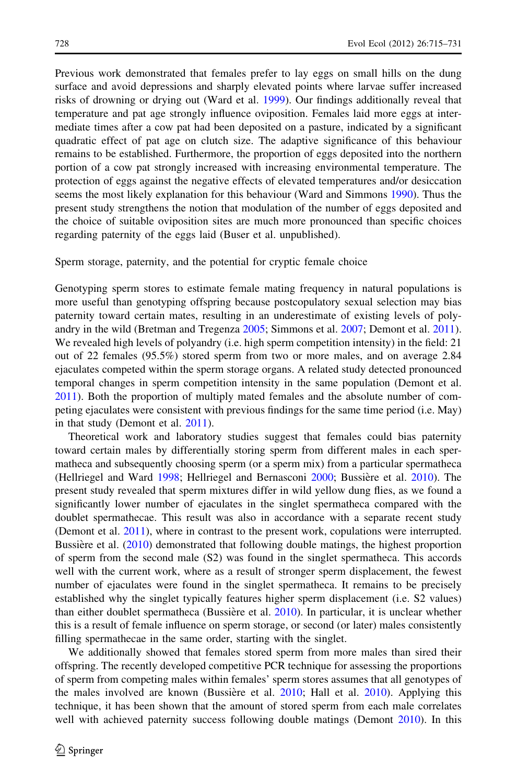Previous work demonstrated that females prefer to lay eggs on small hills on the dung surface and avoid depressions and sharply elevated points where larvae suffer increased risks of drowning or drying out (Ward et al. [1999](#page-17-0)). Our findings additionally reveal that temperature and pat age strongly influence oviposition. Females laid more eggs at intermediate times after a cow pat had been deposited on a pasture, indicated by a significant quadratic effect of pat age on clutch size. The adaptive significance of this behaviour remains to be established. Furthermore, the proportion of eggs deposited into the northern portion of a cow pat strongly increased with increasing environmental temperature. The protection of eggs against the negative effects of elevated temperatures and/or desiccation seems the most likely explanation for this behaviour (Ward and Simmons [1990](#page-17-0)). Thus the present study strengthens the notion that modulation of the number of eggs deposited and the choice of suitable oviposition sites are much more pronounced than specific choices regarding paternity of the eggs laid (Buser et al. unpublished).

Sperm storage, paternity, and the potential for cryptic female choice

Genotyping sperm stores to estimate female mating frequency in natural populations is more useful than genotyping offspring because postcopulatory sexual selection may bias paternity toward certain mates, resulting in an underestimate of existing levels of polyandry in the wild (Bretman and Tregenza [2005](#page-16-0); Simmons et al. [2007;](#page-17-0) Demont et al. [2011](#page-16-0)). We revealed high levels of polyandry (i.e. high sperm competition intensity) in the field: 21 out of 22 females (95.5%) stored sperm from two or more males, and on average 2.84 ejaculates competed within the sperm storage organs. A related study detected pronounced temporal changes in sperm competition intensity in the same population (Demont et al. [2011\)](#page-16-0). Both the proportion of multiply mated females and the absolute number of competing ejaculates were consistent with previous findings for the same time period (i.e. May) in that study (Demont et al. [2011\)](#page-16-0).

Theoretical work and laboratory studies suggest that females could bias paternity toward certain males by differentially storing sperm from different males in each spermatheca and subsequently choosing sperm (or a sperm mix) from a particular spermatheca (Hellriegel and Ward [1998;](#page-16-0) Hellriegel and Bernasconi [2000](#page-16-0); Bussière et al. [2010\)](#page-16-0). The present study revealed that sperm mixtures differ in wild yellow dung flies, as we found a significantly lower number of ejaculates in the singlet spermatheca compared with the doublet spermathecae. This result was also in accordance with a separate recent study (Demont et al. [2011\)](#page-16-0), where in contrast to the present work, copulations were interrupted. Bussière et al. [\(2010](#page-16-0)) demonstrated that following double matings, the highest proportion of sperm from the second male (S2) was found in the singlet spermatheca. This accords well with the current work, where as a result of stronger sperm displacement, the fewest number of ejaculates were found in the singlet spermatheca. It remains to be precisely established why the singlet typically features higher sperm displacement (i.e. S2 values) than either doublet spermatheca (Bussière et al.  $2010$ ). In particular, it is unclear whether this is a result of female influence on sperm storage, or second (or later) males consistently filling spermathecae in the same order, starting with the singlet.

We additionally showed that females stored sperm from more males than sired their offspring. The recently developed competitive PCR technique for assessing the proportions of sperm from competing males within females' sperm stores assumes that all genotypes of the males involved are known (Bussière et al.  $2010$ ; Hall et al.  $2010$ ). Applying this technique, it has been shown that the amount of stored sperm from each male correlates well with achieved paternity success following double matings (Demont [2010](#page-16-0)). In this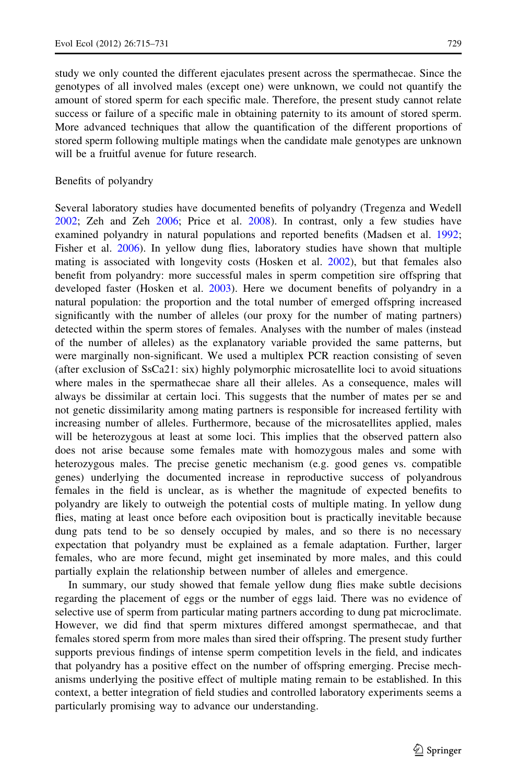study we only counted the different ejaculates present across the spermathecae. Since the genotypes of all involved males (except one) were unknown, we could not quantify the amount of stored sperm for each specific male. Therefore, the present study cannot relate success or failure of a specific male in obtaining paternity to its amount of stored sperm. More advanced techniques that allow the quantification of the different proportions of stored sperm following multiple matings when the candidate male genotypes are unknown will be a fruitful avenue for future research.

### Benefits of polyandry

Several laboratory studies have documented benefits of polyandry (Tregenza and Wedell [2002;](#page-17-0) Zeh and Zeh [2006;](#page-17-0) Price et al. [2008](#page-17-0)). In contrast, only a few studies have examined polyandry in natural populations and reported benefits (Madsen et al. [1992;](#page-17-0) Fisher et al. [2006\)](#page-16-0). In yellow dung flies, laboratory studies have shown that multiple mating is associated with longevity costs (Hosken et al. [2002\)](#page-16-0), but that females also benefit from polyandry: more successful males in sperm competition sire offspring that developed faster (Hosken et al. [2003\)](#page-16-0). Here we document benefits of polyandry in a natural population: the proportion and the total number of emerged offspring increased significantly with the number of alleles (our proxy for the number of mating partners) detected within the sperm stores of females. Analyses with the number of males (instead of the number of alleles) as the explanatory variable provided the same patterns, but were marginally non-significant. We used a multiplex PCR reaction consisting of seven (after exclusion of SsCa21: six) highly polymorphic microsatellite loci to avoid situations where males in the spermathecae share all their alleles. As a consequence, males will always be dissimilar at certain loci. This suggests that the number of mates per se and not genetic dissimilarity among mating partners is responsible for increased fertility with increasing number of alleles. Furthermore, because of the microsatellites applied, males will be heterozygous at least at some loci. This implies that the observed pattern also does not arise because some females mate with homozygous males and some with heterozygous males. The precise genetic mechanism (e.g. good genes vs. compatible genes) underlying the documented increase in reproductive success of polyandrous females in the field is unclear, as is whether the magnitude of expected benefits to polyandry are likely to outweigh the potential costs of multiple mating. In yellow dung flies, mating at least once before each oviposition bout is practically inevitable because dung pats tend to be so densely occupied by males, and so there is no necessary expectation that polyandry must be explained as a female adaptation. Further, larger females, who are more fecund, might get inseminated by more males, and this could partially explain the relationship between number of alleles and emergence.

In summary, our study showed that female yellow dung flies make subtle decisions regarding the placement of eggs or the number of eggs laid. There was no evidence of selective use of sperm from particular mating partners according to dung pat microclimate. However, we did find that sperm mixtures differed amongst spermathecae, and that females stored sperm from more males than sired their offspring. The present study further supports previous findings of intense sperm competition levels in the field, and indicates that polyandry has a positive effect on the number of offspring emerging. Precise mechanisms underlying the positive effect of multiple mating remain to be established. In this context, a better integration of field studies and controlled laboratory experiments seems a particularly promising way to advance our understanding.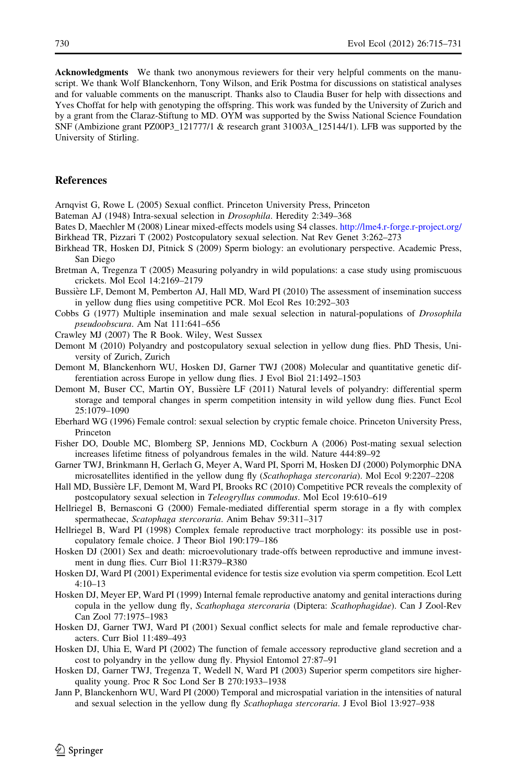<span id="page-16-0"></span>Acknowledgments We thank two anonymous reviewers for their very helpful comments on the manuscript. We thank Wolf Blanckenhorn, Tony Wilson, and Erik Postma for discussions on statistical analyses and for valuable comments on the manuscript. Thanks also to Claudia Buser for help with dissections and Yves Choffat for help with genotyping the offspring. This work was funded by the University of Zurich and by a grant from the Claraz-Stiftung to MD. OYM was supported by the Swiss National Science Foundation SNF (Ambizione grant PZ00P3\_121777/1 & research grant 31003A\_125144/1). LFB was supported by the University of Stirling.

#### **References**

Arnqvist G, Rowe L (2005) Sexual conflict. Princeton University Press, Princeton

Bateman AJ (1948) Intra-sexual selection in Drosophila. Heredity 2:349–368

- Bates D, Maechler M (2008) Linear mixed-effects models using S4 classes. <http://lme4.r-forge.r-project.org/> Birkhead TR, Pizzari T (2002) Postcopulatory sexual selection. Nat Rev Genet 3:262–273
- Birkhead TR, Hosken DJ, Pitnick S (2009) Sperm biology: an evolutionary perspective. Academic Press, San Diego
- Bretman A, Tregenza T (2005) Measuring polyandry in wild populations: a case study using promiscuous crickets. Mol Ecol 14:2169–2179
- Bussière LF, Demont M, Pemberton AJ, Hall MD, Ward PI (2010) The assessment of insemination success in yellow dung flies using competitive PCR. Mol Ecol Res 10:292–303
- Cobbs G (1977) Multiple insemination and male sexual selection in natural-populations of Drosophila pseudoobscura. Am Nat 111:641–656
- Crawley MJ (2007) The R Book. Wiley, West Sussex
- Demont M (2010) Polyandry and postcopulatory sexual selection in yellow dung flies. PhD Thesis, University of Zurich, Zurich
- Demont M, Blanckenhorn WU, Hosken DJ, Garner TWJ (2008) Molecular and quantitative genetic differentiation across Europe in yellow dung flies. J Evol Biol 21:1492–1503
- Demont M, Buser CC, Martin OY, Bussière LF (2011) Natural levels of polyandry: differential sperm storage and temporal changes in sperm competition intensity in wild yellow dung flies. Funct Ecol 25:1079–1090
- Eberhard WG (1996) Female control: sexual selection by cryptic female choice. Princeton University Press, Princeton
- Fisher DO, Double MC, Blomberg SP, Jennions MD, Cockburn A (2006) Post-mating sexual selection increases lifetime fitness of polyandrous females in the wild. Nature 444:89–92
- Garner TWJ, Brinkmann H, Gerlach G, Meyer A, Ward PI, Sporri M, Hosken DJ (2000) Polymorphic DNA microsatellites identified in the yellow dung fly (Scathophaga stercoraria). Mol Ecol 9:2207–2208
- Hall MD, Bussière LF, Demont M, Ward PI, Brooks RC (2010) Competitive PCR reveals the complexity of postcopulatory sexual selection in Teleogryllus commodus. Mol Ecol 19:610–619
- Hellriegel B, Bernasconi G (2000) Female-mediated differential sperm storage in a fly with complex spermathecae, Scatophaga stercoraria. Anim Behav 59:311–317
- Hellriegel B, Ward PI (1998) Complex female reproductive tract morphology: its possible use in postcopulatory female choice. J Theor Biol 190:179–186
- Hosken DJ (2001) Sex and death: microevolutionary trade-offs between reproductive and immune investment in dung flies. Curr Biol 11:R379–R380
- Hosken DJ, Ward PI (2001) Experimental evidence for testis size evolution via sperm competition. Ecol Lett 4:10–13
- Hosken DJ, Meyer EP, Ward PI (1999) Internal female reproductive anatomy and genital interactions during copula in the yellow dung fly, Scathophaga stercoraria (Diptera: Scathophagidae). Can J Zool-Rev Can Zool 77:1975–1983
- Hosken DJ, Garner TWJ, Ward PI (2001) Sexual conflict selects for male and female reproductive characters. Curr Biol 11:489–493
- Hosken DJ, Uhia E, Ward PI (2002) The function of female accessory reproductive gland secretion and a cost to polyandry in the yellow dung fly. Physiol Entomol 27:87–91
- Hosken DJ, Garner TWJ, Tregenza T, Wedell N, Ward PI (2003) Superior sperm competitors sire higherquality young. Proc R Soc Lond Ser B 270:1933–1938
- Jann P, Blanckenhorn WU, Ward PI (2000) Temporal and microspatial variation in the intensities of natural and sexual selection in the yellow dung fly Scathophaga stercoraria. J Evol Biol 13:927–938